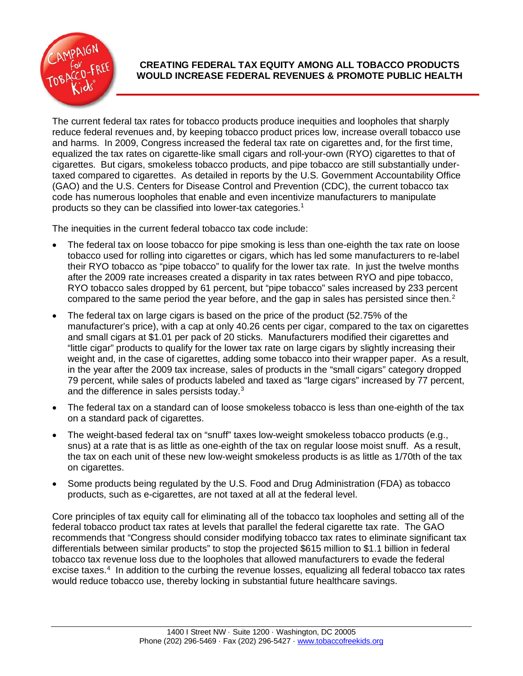

## **CREATING FEDERAL TAX EQUITY AMONG ALL TOBACCO PRODUCTS WOULD INCREASE FEDERAL REVENUES & PROMOTE PUBLIC HEALTH**

The current federal tax rates for tobacco products produce inequities and loopholes that sharply reduce federal revenues and, by keeping tobacco product prices low, increase overall tobacco use and harms. In 2009, Congress increased the federal tax rate on cigarettes and, for the first time, equalized the tax rates on cigarette-like small cigars and roll-your-own (RYO) cigarettes to that of cigarettes. But cigars, smokeless tobacco products, and pipe tobacco are still substantially undertaxed compared to cigarettes. As detailed in reports by the U.S. Government Accountability Office (GAO) and the U.S. Centers for Disease Control and Prevention (CDC), the current tobacco tax code has numerous loopholes that enable and even incentivize manufacturers to manipulate products so they can be classified into lower-tax categories. [1](#page-1-0)

The inequities in the current federal tobacco tax code include:

- The federal tax on loose tobacco for pipe smoking is less than one-eighth the tax rate on loose tobacco used for rolling into cigarettes or cigars, which has led some manufacturers to re-label their RYO tobacco as "pipe tobacco" to qualify for the lower tax rate. In just the twelve months after the 2009 rate increases created a disparity in tax rates between RYO and pipe tobacco, RYO tobacco sales dropped by 61 percent, but "pipe tobacco" sales increased by 233 percent compared to the same period the year before, and the gap in sales has persisted since then.<sup>[2](#page-2-0)</sup>
- The federal tax on large cigars is based on the price of the product (52.75% of the manufacturer's price), with a cap at only 40.26 cents per cigar, compared to the tax on cigarettes and small cigars at \$1.01 per pack of 20 sticks. Manufacturers modified their cigarettes and "little cigar" products to qualify for the lower tax rate on large cigars by slightly increasing their weight and, in the case of cigarettes, adding some tobacco into their wrapper paper. As a result, in the year after the 2009 tax increase, sales of products in the "small cigars" category dropped 79 percent, while sales of products labeled and taxed as "large cigars" increased by 77 percent, and the difference in sales persists today.<sup>[3](#page-2-1)</sup>
- The federal tax on a standard can of loose smokeless tobacco is less than one-eighth of the tax on a standard pack of cigarettes.
- The weight-based federal tax on "snuff" taxes low-weight smokeless tobacco products (e.g., snus) at a rate that is as little as one-eighth of the tax on regular loose moist snuff. As a result, the tax on each unit of these new low-weight smokeless products is as little as 1/70th of the tax on cigarettes.
- Some products being regulated by the U.S. Food and Drug Administration (FDA) as tobacco products, such as e-cigarettes, are not taxed at all at the federal level.

Core principles of tax equity call for eliminating all of the tobacco tax loopholes and setting all of the federal tobacco product tax rates at levels that parallel the federal cigarette tax rate. The GAO recommends that "Congress should consider modifying tobacco tax rates to eliminate significant tax differentials between similar products" to stop the projected \$615 million to \$1.1 billion in federal tobacco tax revenue loss due to the loopholes that allowed manufacturers to evade the federal excise taxes.<sup>[4](#page-2-2)</sup> In addition to the curbing the revenue losses, equalizing all federal tobacco tax rates would reduce tobacco use, thereby locking in substantial future healthcare savings.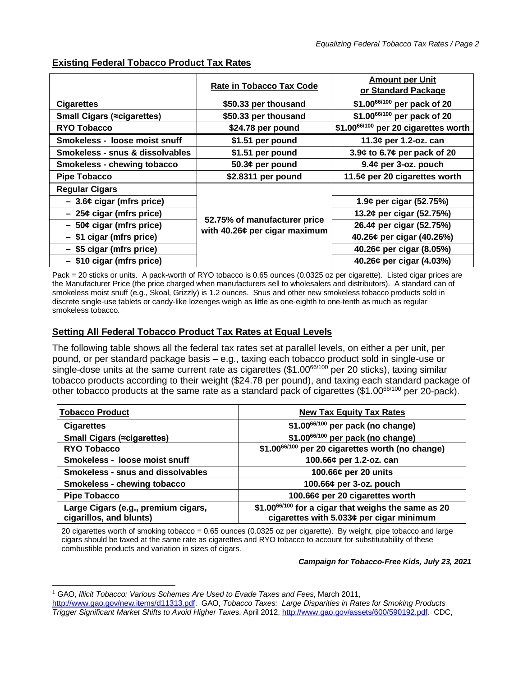|                                    | <b>Rate in Tobacco Tax Code</b>                               | <b>Amount per Unit</b><br>or Standard Package |
|------------------------------------|---------------------------------------------------------------|-----------------------------------------------|
| <b>Cigarettes</b>                  | \$50.33 per thousand                                          | \$1.0066/100 per pack of 20                   |
| <b>Small Cigars (≈cigarettes)</b>  | \$50.33 per thousand                                          | \$1.0066/100 per pack of 20                   |
| <b>RYO Tobacco</b>                 | \$24.78 per pound                                             | \$1.0066/100 per 20 cigarettes worth          |
| Smokeless - loose moist snuff      | \$1.51 per pound                                              | 11.3¢ per 1.2-oz. can                         |
| Smokeless - snus & dissolvables    | \$1.51 per pound                                              | 3.9¢ to 6.7¢ per pack of 20                   |
| <b>Smokeless - chewing tobacco</b> | 50.3¢ per pound                                               | $9.4¢$ per 3-oz. pouch                        |
| <b>Pipe Tobacco</b>                | \$2.8311 per pound                                            | 11.5¢ per 20 cigarettes worth                 |
| <b>Regular Cigars</b>              |                                                               |                                               |
| $-3.6¢$ cigar (mfrs price)         | 52.75% of manufacturer price<br>with 40.26¢ per cigar maximum | 1.9¢ per cigar (52.75%)                       |
| $-25¢$ cigar (mfrs price)          |                                                               | 13.2¢ per cigar (52.75%)                      |
| $-50¢$ cigar (mfrs price)          |                                                               | 26.4¢ per cigar (52.75%)                      |
| - \$1 cigar (mfrs price)           |                                                               | 40.26¢ per cigar (40.26%)                     |
| - \$5 cigar (mfrs price)           |                                                               | 40.26¢ per cigar (8.05%)                      |
| - \$10 cigar (mfrs price)          |                                                               | 40.26¢ per cigar (4.03%)                      |

## **Existing Federal Tobacco Product Tax Rates**

Pack = 20 sticks or units. A pack-worth of RYO tobacco is 0.65 ounces (0.0325 oz per cigarette). Listed cigar prices are the Manufacturer Price (the price charged when manufacturers sell to wholesalers and distributors). A standard can of smokeless moist snuff (e.g., Skoal, Grizzly) is 1.2 ounces. Snus and other new smokeless tobacco products sold in discrete single-use tablets or candy-like lozenges weigh as little as one-eighth to one-tenth as much as regular smokeless tobacco.

## **Setting All Federal Tobacco Product Tax Rates at Equal Levels**

The following table shows all the federal tax rates set at parallel levels, on either a per unit, per pound, or per standard package basis – e.g., taxing each tobacco product sold in single-use or single-dose units at the same current rate as cigarettes (\$1.00<sup>66/100</sup> per 20 sticks), taxing similar tobacco products according to their weight (\$24.78 per pound), and taxing each standard package of other tobacco products at the same rate as a standard pack of cigarettes (\$1.0066/100 per 20-pack).

| <b>Tobacco Product</b>                                         | <b>New Tax Equity Tax Rates</b>                                                                 |
|----------------------------------------------------------------|-------------------------------------------------------------------------------------------------|
| <b>Cigarettes</b>                                              | \$1.0066/100 per pack (no change)                                                               |
| Small Cigars (≈cigarettes)                                     | \$1.00 <sup>66/100</sup> per pack (no change)                                                   |
| <b>RYO Tobacco</b>                                             | \$1.00 <sup>66/100</sup> per 20 cigarettes worth (no change)                                    |
| Smokeless - loose moist snuff                                  | 100.66¢ per 1.2-oz. can                                                                         |
| Smokeless - snus and dissolvables                              | 100.66¢ per 20 units                                                                            |
| Smokeless - chewing tobacco                                    | 100.66¢ per 3-oz. pouch                                                                         |
| <b>Pipe Tobacco</b>                                            | 100.66¢ per 20 cigarettes worth                                                                 |
| Large Cigars (e.g., premium cigars,<br>cigarillos, and blunts) | \$1.0066/100 for a cigar that weighs the same as 20<br>cigarettes with 5.033¢ per cigar minimum |

20 cigarettes worth of smoking tobacco = 0.65 ounces (0.0325 oz per cigarette). By weight, pipe tobacco and large cigars should be taxed at the same rate as cigarettes and RYO tobacco to account for substitutability of these combustible products and variation in sizes of cigars.

## *Campaign for Tobacco-Free Kids, July 23, 2021*

<span id="page-1-0"></span><sup>1</sup> GAO, *Illicit Tobacco: Various Schemes Are Used to Evade Taxes and Fees*, March 2011,

[http://www.gao.gov/new.items/d11313.pdf.](http://www.gao.gov/new.items/d11313.pdf) GAO, *Tobacco Taxes: Large Disparities in Rates for Smoking Products Trigger Significant Market Shifts to Avoid Higher Taxe*s, April 2012[, http://www.gao.gov/assets/600/590192.pdf.](http://www.gao.gov/assets/600/590192.pdf) CDC,